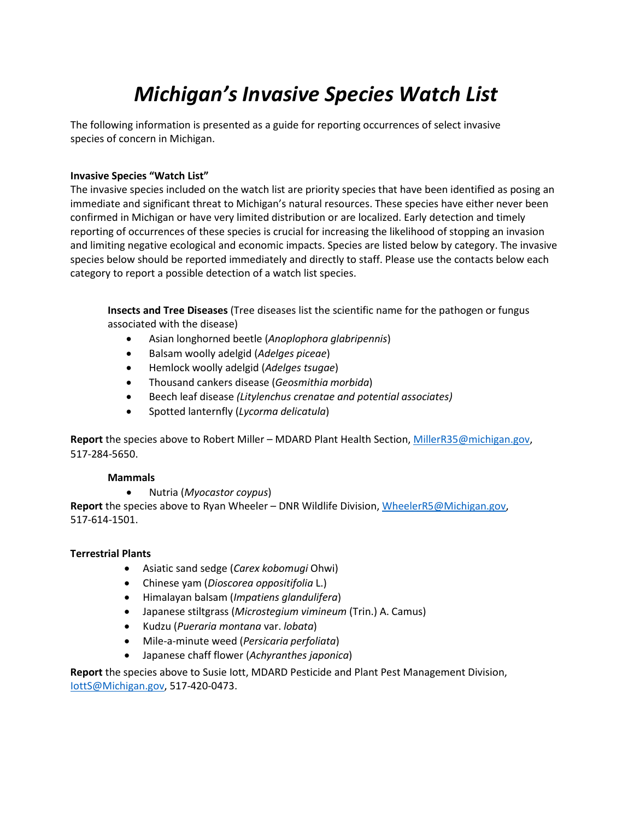# *Michigan's Invasive Species Watch List*

The following information is presented as a guide for reporting occurrences of select invasive species of concern in Michigan.

# **Invasive Species "Watch List"**

The invasive species included on the watch list are priority species that have been identified as posing an immediate and significant threat to Michigan's natural resources. These species have either never been confirmed in Michigan or have very limited distribution or are localized. Early detection and timely reporting of occurrences of these species is crucial for increasing the likelihood of stopping an invasion and limiting negative ecological and economic impacts. Species are listed below by category. The invasive species below should be reported immediately and directly to staff. Please use the contacts below each category to report a possible detection of a watch list species.

**Insects and Tree Diseases** (Tree diseases list the scientific name for the pathogen or fungus associated with the disease)

- Asian longhorned beetle (*Anoplophora glabripennis*)
- Balsam woolly adelgid (*Adelges piceae*)
- Hemlock woolly adelgid (*Adelges tsugae*)
- Thousand cankers disease (*Geosmithia morbida*)
- Beech leaf disease *(Litylenchus crenatae and potential associates)*
- Spotted lanternfly (*Lycorma delicatula*)

**Report** the species above to Robert Miller – MDARD Plant Health Section, [MillerR35@michigan.gov,](mailto:MillerR35@michigan.gov) 517-284-5650.

#### **Mammals**

• Nutria (*Myocastor coypus*)

**Report** the species above to Ryan Wheeler – DNR Wildlife Division, [WheelerR5@Michigan.gov,](mailto:wheelerr5@michigan.gov) 517-614-1501.

#### **Terrestrial Plants**

- Asiatic sand sedge (*Carex kobomugi* Ohwi)
- Chinese yam (*Dioscorea oppositifolia* L.)
- Himalayan balsam (*Impatiens glandulifera*)
- Japanese stiltgrass (*Microstegium vimineum* (Trin.) A. Camus)
- Kudzu (*Pueraria montana* var. *lobata*)
- Mile-a-minute weed (*Persicaria perfoliata*)
- Japanese chaff flower (*Achyranthes japonica*)

**Report** the species above to Susie Iott, MDARD Pesticide and Plant Pest Management Division, [IottS@Michigan.gov, 5](mailto:IottS@Michigan.gov)17-420-0473.